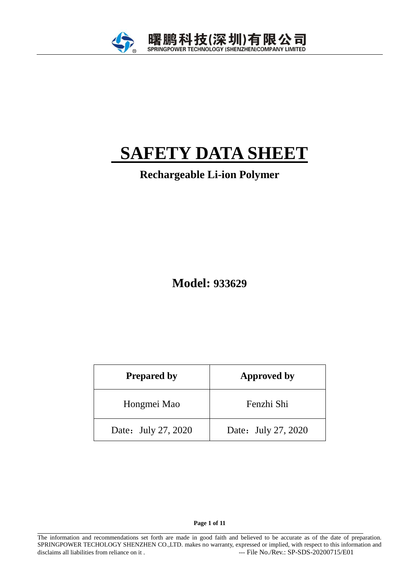

# **SAFETY DATA SHEET**

# **Rechargeable Li-ion Polymer**

**Model: 933629**

| <b>Prepared by</b>  | Approved by         |  |  |  |
|---------------------|---------------------|--|--|--|
| Hongmei Mao         | Fenzhi Shi          |  |  |  |
| Date: July 27, 2020 | Date: July 27, 2020 |  |  |  |

**Page 1 of 11**

 $\overline{a}$ 

The information and recommendations set forth are made in good faith and believed to be accurate as of the date of preparation. SPRINGPOWER TECHOLOGY SHENZHEN CO.,LTD. makes no warranty, expressed or implied, with respect to this information and disclaims all liabilities from reliance on it . --- File No./Rev.: SP-SDS-20200715/E01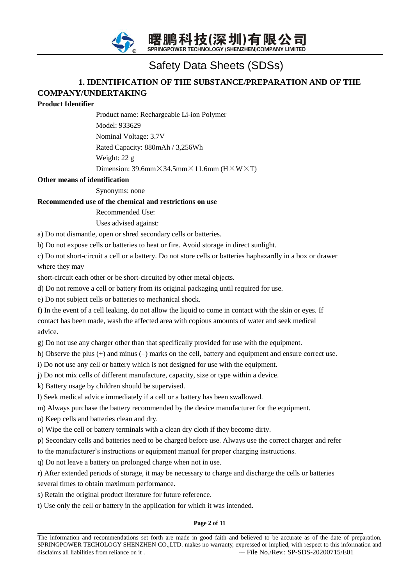

# Safety Data Sheets (SDSs)

# **1. IDENTIFICATION OF THE SUBSTANCE/PREPARATION AND OF THE COMPANY/UNDERTAKING**

### **Product Identifier**

Product name: Rechargeable Li-ion Polymer

Model: 933629

Nominal Voltage: 3.7V

Rated Capacity: 880mAh / 3,256Wh

Weight: 22 g

Dimension: 39.6mm  $\times$  34.5mm  $\times$  11.6mm (H $\times$ W $\times$ T)

# **Other means of identification**

Synonyms: none

# **Recommended use of the chemical and restrictions on use**

Recommended Use:

Uses advised against:

a) Do not dismantle, open or shred secondary cells or batteries.

b) Do not expose cells or batteries to heat or fire. Avoid storage in direct sunlight.

c) Do not short-circuit a cell or a battery. Do not store cells or batteries haphazardly in a box or drawer where they may

short-circuit each other or be short-circuited by other metal objects.

d) Do not remove a cell or battery from its original packaging until required for use.

e) Do not subject cells or batteries to mechanical shock.

f) In the event of a cell leaking, do not allow the liquid to come in contact with the skin or eyes. If contact has been made, wash the affected area with copious amounts of water and seek medical advice.

g) Do not use any charger other than that specifically provided for use with the equipment.

h) Observe the plus (+) and minus (–) marks on the cell, battery and equipment and ensure correct use.

i) Do not use any cell or battery which is not designed for use with the equipment.

j) Do not mix cells of different manufacture, capacity, size or type within a device.

k) Battery usage by children should be supervised.

l) Seek medical advice immediately if a cell or a battery has been swallowed.

m) Always purchase the battery recommended by the device manufacturer for the equipment.

n) Keep cells and batteries clean and dry.

o) Wipe the cell or battery terminals with a clean dry cloth if they become dirty.

p) Secondary cells and batteries need to be charged before use. Always use the correct charger and refer

to the manufacturer's instructions or equipment manual for proper charging instructions.

q) Do not leave a battery on prolonged charge when not in use.

r) After extended periods of storage, it may be necessary to charge and discharge the cells or batteries several times to obtain maximum performance.

s) Retain the original product literature for future reference.

t) Use only the cell or battery in the application for which it was intended.

# **Page 2 of 11**

 $\overline{a}$ The information and recommendations set forth are made in good faith and believed to be accurate as of the date of preparation. SPRINGPOWER TECHOLOGY SHENZHEN CO.,LTD. makes no warranty, expressed or implied, with respect to this information and disclaims all liabilities from reliance on it . --- File No./Rev.: SP-SDS-20200715/E01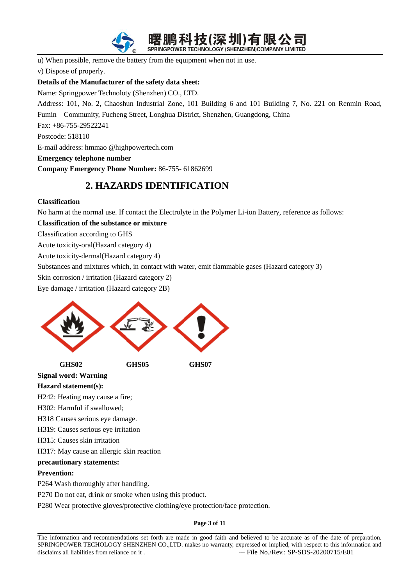

u) When possible, remove the battery from the equipment when not in use.

v) Dispose of properly.

# **Details of the Manufacturer of the safety data sheet:**

Name: Springpower Technoloty (Shenzhen) CO., LTD.

Address: 101, No. 2, Chaoshun Industrial Zone, 101 Building 6 and 101 Building 7, No. 221 on Renmin Road, Fumin Community, Fucheng Street, Longhua District, Shenzhen, Guangdong, China

Fax: +86-755-29522241

Postcode: 518110

E-mail address: hmmao @highpowertech.com

**Emergency telephone number**

**Company Emergency Phone Number:** 86-755- 61862699

# **2. HAZARDS IDENTIFICATION**

# **Classification**

 $\overline{a}$ 

No harm at the normal use. If contact the Electrolyte in the Polymer Li-ion Battery, reference as follows:

# **Classification of the substance or mixture**

Classification according to GHS

Acute toxicity-oral(Hazard category 4)

Acute toxicity-dermal(Hazard category 4)

Substances and mixtures which, in contact with water, emit flammable gases (Hazard category 3)

Skin corrosion / irritation (Hazard category 2)

Eye damage / irritation (Hazard category 2B)



**Page 3 of 11**

The information and recommendations set forth are made in good faith and believed to be accurate as of the date of preparation. SPRINGPOWER TECHOLOGY SHENZHEN CO.,LTD. makes no warranty, expressed or implied, with respect to this information and disclaims all liabilities from reliance on it . --- File No./Rev.: SP-SDS-20200715/E01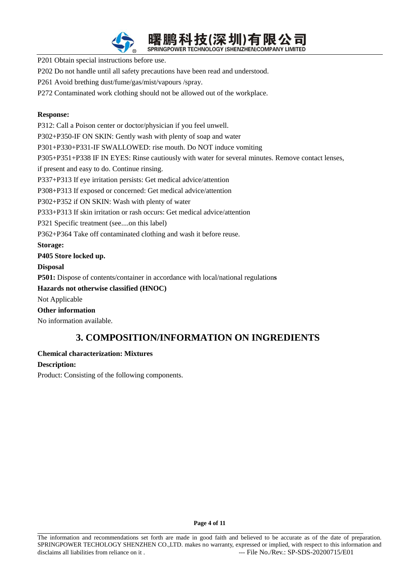

P201 Obtain special instructions before use.

P202 Do not handle until all safety precautions have been read and understood.

P261 Avoid brething dust/fume/gas/mist/vapours /spray.

P272 Contaminated work clothing should not be allowed out of the workplace.

# **Response:**

P312: Call a Poison center or doctor/physician if you feel unwell. P302+P350-IF ON SKIN: Gently wash with plenty of soap and water P301+P330+P331-IF SWALLOWED: rise mouth. Do NOT induce vomiting P305+P351+P338 IF IN EYES: Rinse cautiously with water for several minutes. Remove contact lenses, if present and easy to do. Continue rinsing. P337+P313 If eye irritation persists: Get medical advice/attention P308+P313 If exposed or concerned: Get medical advice/attention P302+P352 if ON SKIN: Wash with plenty of water P333+P313 If skin irritation or rash occurs: Get medical advice/attention P321 Specific treatment (see....on this label) P362+P364 Take off contaminated clothing and wash it before reuse. **Storage: P405 Store locked up. Disposal P501:** Dispose of contents/container in accordance with local/national regulation**s Hazards not otherwise classified (HNOC)** Not Applicable **Other information**

No information available.

# **3. COMPOSITION/INFORMATION ON INGREDIENTS**

# **Chemical characterization: Mixtures**

### **Description:**

 $\overline{a}$ 

Product: Consisting of the following components.

**Page 4 of 11**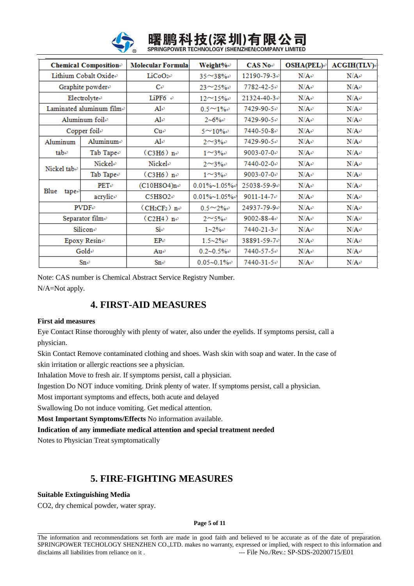| וכ |  |
|----|--|

# 曙鹏科技(深圳)有限公 SPRINGPOWER TECHNOLOGY (SHENZHEN)COMPANY LIMITED

| Chemical Composition <sup>®</sup> |                          | <b>Molecular Formula</b>  | Weight%+            | $CAS$ No $\phi$   | <b>OSHA(PEL)</b>                   | <b>ACGIH(TLV)</b>                  |
|-----------------------------------|--------------------------|---------------------------|---------------------|-------------------|------------------------------------|------------------------------------|
| Lithium Cobalt Oxide®             |                          | LiCoO <sub>2</sub>        | $35 - 38%$          | 12190-79-3+       | $N/A$ <sup>o</sup>                 | $N/A$ <sup>o</sup>                 |
|                                   | Graphite powder®         | $C_{\rm F}$               | $23^{\sim}25\%$     | 7782-42-5₽        | $N/A$ e                            | $N/A$ e                            |
|                                   | Electrolytee             | LiPF6 +                   | $12 - 15\% +$       | 21324-40-3+       | $N/A$ <sup>o</sup>                 | $N/A$ <sup>o</sup>                 |
|                                   | Laminated aluminum filme | $\mathbf{A} \mathbf{l}$ e | $0.5 \sim 1\%$      | 7429-90-5₽        | $N/A$ <sup>o</sup>                 | $N/A$ <sup>o</sup>                 |
| Aluminum foile                    |                          | $\mathbf{Al} \cdot$       | $2 - 6%$            | 7429-90-5₽        | $N/A$ <sup>o</sup>                 | $N/A$ e                            |
| Copper foile                      |                          | $Cu -$                    | $5^\sim 10\%$       | 7440-50-8₽        | $N/A$ <sup>o</sup>                 | N/A                                |
| Aluminum                          | Aluminum <sup>®</sup>    | Ale                       | $2^{\sim}3\%$       | 7429-90-5₽        | $N/A$ e                            | $N/A$ e                            |
| tab∉<br>Tab Tape₽                 |                          | $(C3H6)$ ne               | $1 - 3\% +$         | $9003 - 07 - 0 +$ |                                    | $N/A$ e                            |
| Nickel tabe                       | <b>Nickel</b> +          | Nickele                   | $2^{\sim}3\%$       | 7440-02-0₽        | $N/A$ e                            | $N/A$ e                            |
|                                   | Tab Tape <sup>p</sup>    | $(C3H6)$ ne               | $1^{\sim}3\%$       | $9003 - 07 - 0$   | $N/A$ <sup><math>\div</math></sup> | $N/A$ e                            |
| Blue<br>tape₽                     | $PET \oplus$             | $(C10H8O4)n$ <sup>e</sup> | $0.01\% - 1.05\% +$ | 25038-59-9-       | $N/A$ <sup>o</sup>                 | $N/A$ e                            |
|                                   | acrylice                 | $C5H8O2 \div$             | $0.01\% - 1.05\% +$ | $9011 - 14 - 7 +$ | $N/A$ <sup><math>\phi</math></sup> | $N/A$ e                            |
| $PVDF-$                           |                          | $(CH_2CF_2)$ n+           | $0.5^{\sim}2\%$     | 24937-79-9+       | $N/A$ <sup>o</sup>                 | $N/A$ e                            |
| Separator film+                   |                          | $(C2H4)$ ne               | $2^{\sim}5\%$       | $9002 - 88 - 4 +$ | $N/A$ <sup><math>\div</math></sup> | $N/A$ e                            |
| Silicone                          |                          | Sie                       | $1 - 2\%$           | 7440-21-3₽        | $N/A$ <sup>o</sup>                 | $N/A$ e                            |
| Epoxy Resine                      |                          | $EP-$                     | $1.5 - 2\% +$       | 38891-59-7+       | $N/A$ <sup><math>\div</math></sup> | $N/A$ <sup><math>\div</math></sup> |
| Golde                             |                          | Au $\cdot$                | $0.2 - 0.5\%$       | 7440-57-5₽        | $N/A$ <sup>o</sup>                 | $N/A$ e                            |
| $Sm-$                             |                          | $Sn-$                     | $0.05 - 0.1\%$      | 7440-31-5₽        | $N/A$ <sup>o</sup>                 | $N/A$ <sup>o</sup>                 |

Note: CAS number is Chemical Abstract Service Registry Number. N/A=Not apply.

# **4. FIRST-AID MEASURES**

# **First aid measures**

Eye Contact Rinse thoroughly with plenty of water, also under the eyelids. If symptoms persist, call a physician.

Skin Contact Remove contaminated clothing and shoes. Wash skin with soap and water. In the case of skin irritation or allergic reactions see a physician.

Inhalation Move to fresh air. If symptoms persist, call a physician.

Ingestion Do NOT induce vomiting. Drink plenty of water. If symptoms persist, call a physician.

Most important symptoms and effects, both acute and delayed

Swallowing Do not induce vomiting. Get medical attention.

**Most Important Symptoms/Effects** No information available.

**Indication of any immediate medical attention and special treatment needed**

Notes to Physician Treat symptomatically

# **5. FIRE-FIGHTING MEASURES**

# **Suitable Extinguishing Media**

 $\overline{a}$ 

CO2, dry chemical powder, water spray.

**Page 5 of 11**

The information and recommendations set forth are made in good faith and believed to be accurate as of the date of preparation. SPRINGPOWER TECHOLOGY SHENZHEN CO.,LTD. makes no warranty, expressed or implied, with respect to this information and disclaims all liabilities from reliance on it . --- File No./Rev.: SP-SDS-20200715/E01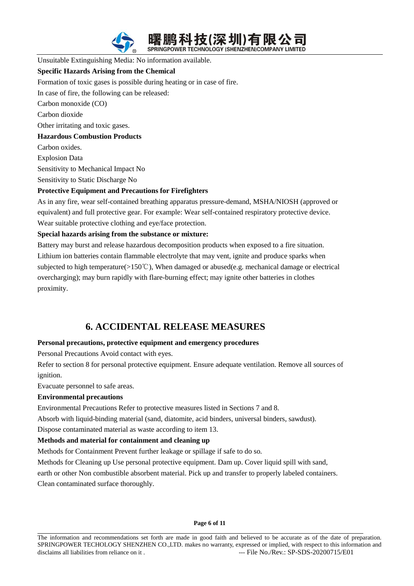

Unsuitable Extinguishing Media: No information available.

### **Specific Hazards Arising from the Chemical**

Formation of toxic gases is possible during heating or in case of fire.

In case of fire, the following can be released:

Carbon monoxide (CO)

Carbon dioxide

Other irritating and toxic gases.

### **Hazardous Combustion Products**

Carbon oxides.

Explosion Data

Sensitivity to Mechanical Impact No

Sensitivity to Static Discharge No

### **Protective Equipment and Precautions for Firefighters**

As in any fire, wear self-contained breathing apparatus pressure-demand, MSHA/NIOSH (approved or equivalent) and full protective gear. For example: Wear self-contained respiratory protective device. Wear suitable protective clothing and eye/face protection.

### **Special hazards arising from the substance or mixture:**

Battery may burst and release hazardous decomposition products when exposed to a fire situation. Lithium ion batteries contain flammable electrolyte that may vent, ignite and produce sparks when subjected to high temperature(>150℃), When damaged or abused(e.g. mechanical damage or electrical overcharging); may burn rapidly with flare-burning effect; may ignite other batteries in clothes proximity.

# **6. ACCIDENTAL RELEASE MEASURES**

# **Personal precautions, protective equipment and emergency procedures**

Personal Precautions Avoid contact with eyes.

Refer to section 8 for personal protective equipment. Ensure adequate ventilation. Remove all sources of ignition.

Evacuate personnel to safe areas.

### **Environmental precautions**

Environmental Precautions Refer to protective measures listed in Sections 7 and 8.

Absorb with liquid-binding material (sand, diatomite, acid binders, universal binders, sawdust).

Dispose contaminated material as waste according to item 13.

### **Methods and material for containment and cleaning up**

Methods for Containment Prevent further leakage or spillage if safe to do so.

Methods for Cleaning up Use personal protective equipment. Dam up. Cover liquid spill with sand,

earth or other Non combustible absorbent material. Pick up and transfer to properly labeled containers.

Clean contaminated surface thoroughly.

 $\overline{a}$ 

#### **Page 6 of 11**

The information and recommendations set forth are made in good faith and believed to be accurate as of the date of preparation. SPRINGPOWER TECHOLOGY SHENZHEN CO.,LTD. makes no warranty, expressed or implied, with respect to this information and disclaims all liabilities from reliance on it . --- File No./Rev.: SP-SDS-20200715/E01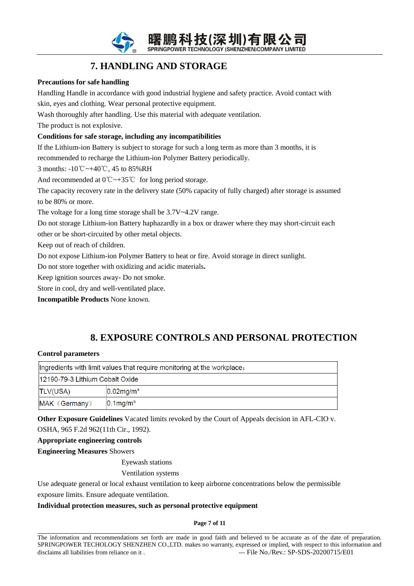

# **7. HANDLING AND STORAGE**

### **Precautions for safe handling**

Handling Handle in accordance with good industrial hygiene and safety practice. Avoid contact with skin, eyes and clothing. Wear personal protective equipment. Wash thoroughly after handling. Use this material with adequate ventilation. The product is not explosive. **Conditions for safe storage, including any incompatibilities** If the Lithium-ion Battery is subject to storage for such a long term as more than 3 months, it is recommended to recharge the Lithium-ion Polymer Battery periodically. 3 months: -10℃~+40℃, 45 to 85%RH And recommended at 0℃~+35℃ for long period storage. The capacity recovery rate in the delivery state (50% capacity of fully charged) after storage is assumed to be 80% or more. The voltage for a long time storage shall be 3.7V~4.2V range. Do not storage Lithium-ion Battery haphazardly in a box or drawer where they may short-circuit each other or be short-circuited by other metal objects. Keep out of reach of children. Do not expose Lithium-ion Polymer Battery to heat or fire. Avoid storage in direct sunlight. Do not store together with oxidizing and acidic materials**.** Keep ignition sources away- Do not smoke. Store in cool, dry and well-ventilated place. **Incompatible Products** None known.

# **8. EXPOSURE CONTROLS AND PERSONAL PROTECTION**

### **Control parameters**

| Ingredients with limit values that require monitoring at the workplace. |                          |  |  |
|-------------------------------------------------------------------------|--------------------------|--|--|
| 12190-79-3 Lithium Cobalt Oxide                                         |                          |  |  |
| TLV(USA)                                                                | $0.02$ mg/m <sup>3</sup> |  |  |
| MAK (Germany)                                                           | $0.1$ mg/m <sup>3</sup>  |  |  |

**Other Exposure Guidelines** Vacated limits revoked by the Court of Appeals decision in AFL-CIO v. OSHA, 965 F.2d 962(11th Cir., 1992).

**Appropriate engineering controls**

**Engineering Measures** Showers

 $\overline{a}$ 

Eyewash stations

Ventilation systems

Use adequate general or local exhaust ventilation to keep airborne concentrations below the permissible exposure limits. Ensure adequate ventilation.

### **Individual protection measures, such as personal protective equipment**

**Page 7 of 11**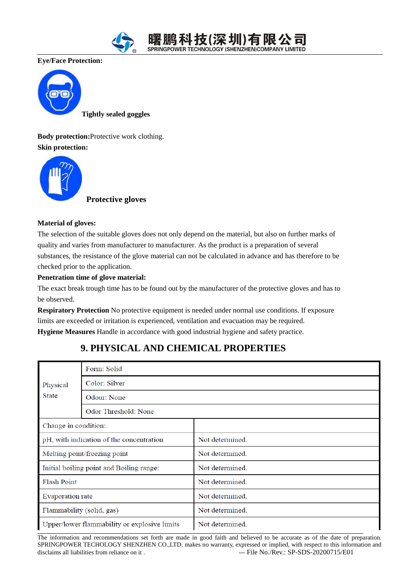

**Eye/Face Protection:**



**Tightly sealed goggles**

**Body protection:**Protective work clothing. **Skin protection:**



**Protective gloves**

# **Material of gloves:**

The selection of the suitable gloves does not only depend on the material, but also on further marks of quality and varies from manufacturer to manufacturer. As the product is a preparation of several substances, the resistance of the glove material can not be calculated in advance and has therefore to be checked prior to the application.

**Penetration time of glove material:**

The exact break trough time has to be found out by the manufacturer of the protective gloves and has to be observed.

**Respiratory Protection** No protective equipment is needed under normal use conditions. If exposure limits are exceeded or irritation is experienced, ventilation and evacuation may be required. **Hygiene Measures** Handle in accordance with good industrial hygiene and safety practice.

|                                              | Form: Solid          |                 |  |  |  |
|----------------------------------------------|----------------------|-----------------|--|--|--|
| Physical<br><b>State</b>                     | Color: Silver        |                 |  |  |  |
|                                              | Odour: None          |                 |  |  |  |
|                                              | Odor Threshold: None |                 |  |  |  |
| Change in condition:                         |                      |                 |  |  |  |
| pH, with indication of the concentration     |                      | Not determined. |  |  |  |
| Melting point/freezing point                 |                      | Not determined. |  |  |  |
| Initial boiling point and Boiling range:     |                      | Not determined. |  |  |  |
| <b>Flash Point</b>                           |                      | Not determined. |  |  |  |
| <b>Evaporation</b> rate                      |                      | Not determined. |  |  |  |
| Flammability (solid, gas)                    |                      | Not determined. |  |  |  |
| Upper/lower flammability or explosive limits |                      | Not determined. |  |  |  |

# **9. PHYSICAL AND CHEMICAL PROPERTIES**

The information and recommendations set forth are made in good faith and believed to be accurate as of the date of preparation. SPRINGPOWER TECHOLOGY SHENZHEN CO.,LTD. makes no warranty, expressed or implied, with respect to this information and disclaims all liabilities from reliance on it .  $\qquad \qquad \qquad \text{--}$  File No./Rev.: SP-SDS-20200715/E01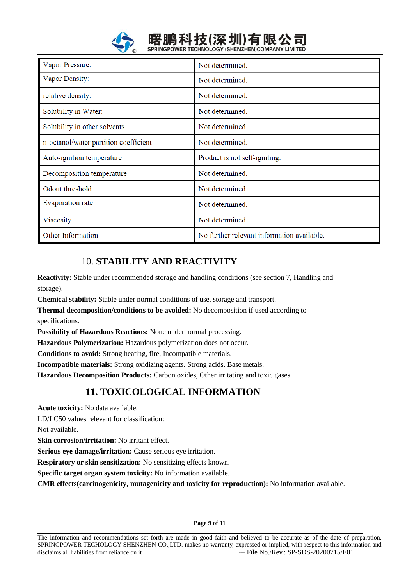

| Vapor Pressure:                       | Not determined.                            |
|---------------------------------------|--------------------------------------------|
| Vapor Density:                        | Not determined.                            |
| relative density:                     | Not determined.                            |
| Solubility in Water:                  | Not determined.                            |
| Solubility in other solvents          | Not determined.                            |
| n-octanol/water partition coefficient | Not determined.                            |
| Auto-ignition temperature             | Product is not self-igniting.              |
| Decomposition temperature             | Not determined.                            |
| Odout threshold                       | Not determined.                            |
| Evaporation rate                      | Not determined.                            |
| Viscosity                             | Not determined.                            |
| Other Information                     | No further relevant information available. |

# 10. **STABILITY AND REACTIVITY**

**Reactivity:** Stable under recommended storage and handling conditions (see section 7, Handling and storage).

**Chemical stability:** Stable under normal conditions of use, storage and transport.

**Thermal decomposition/conditions to be avoided:** No decomposition if used according to specifications.

**Possibility of Hazardous Reactions:** None under normal processing.

**Hazardous Polymerization:** Hazardous polymerization does not occur.

**Conditions to avoid:** Strong heating, fire, Incompatible materials.

**Incompatible materials:** Strong oxidizing agents. Strong acids. Base metals.

**Hazardous Decomposition Products:** Carbon oxides, Other irritating and toxic gases.

# **11. TOXICOLOGICAL INFORMATION**

**Acute toxicity:** No data available.

LD/LC50 values relevant for classification:

Not available.

 $\overline{a}$ 

**Skin corrosion/irritation:** No irritant effect.

**Serious eye damage/irritation:** Cause serious eye irritation.

**Respiratory or skin sensitization:** No sensitizing effects known.

**Specific target organ system toxicity:** No information available.

**CMR effects(carcinogenicity, mutagenicity and toxicity for reproduction):** No information available.

**Page 9 of 11**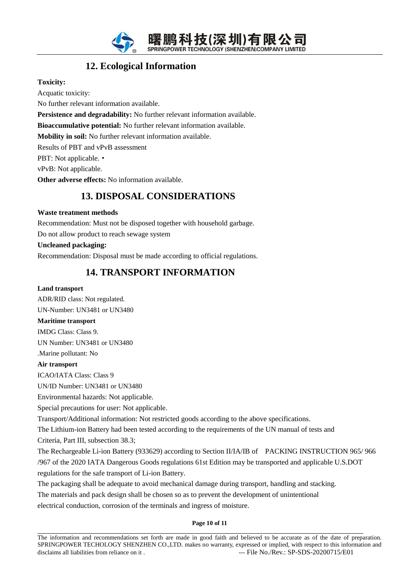

# **12. Ecological Information**

# **Toxicity:**

Acquatic toxicity: No further relevant information available. **Persistence and degradability:** No further relevant information available. **Bioaccumulative potential:** No further relevant information available. **Mobility in soil:** No further relevant information available. Results of PBT and vPvB assessment PBT: Not applicable. • vPvB: Not applicable. **Other adverse effects:** No information available.

# **13. DISPOSAL CONSIDERATIONS**

# **Waste treatment methods**

Recommendation: Must not be disposed together with household garbage.

Do not allow product to reach sewage system

# **Uncleaned packaging:**

Recommendation: Disposal must be made according to official regulations.

# **14. TRANSPORT INFORMATION**

### **Land transport**

ADR/RID class: Not regulated. UN-Number: UN3481 or UN3480

# **Maritime transport**

IMDG Class: Class 9.

UN Number: UN3481 or UN3480

.Marine pollutant: No

# **Air transport**

 $\overline{a}$ 

ICAO/IATA Class: Class 9

UN/ID Number: UN3481 or UN3480

Environmental hazards: Not applicable.

Special precautions for user: Not applicable.

Transport/Additional information: Not restricted goods according to the above specifications.

The Lithium-ion Battery had been tested according to the requirements of the UN manual of tests and

Criteria, Part III, subsection 38.3;

The Rechargeable Li-ion Battery (933629) according to Section II/IA/IB of PACKING INSTRUCTION 965/ 966 /967 of the 2020 IATA Dangerous Goods regulations 61st Edition may be transported and applicable U.S.DOT regulations for the safe transport of Li-ion Battery.

The packaging shall be adequate to avoid mechanical damage during transport, handling and stacking.

The materials and pack design shall be chosen so as to prevent the development of unintentional

electrical conduction, corrosion of the terminals and ingress of moisture.

### **Page 10 of 11**

The information and recommendations set forth are made in good faith and believed to be accurate as of the date of preparation. SPRINGPOWER TECHOLOGY SHENZHEN CO.,LTD. makes no warranty, expressed or implied, with respect to this information and disclaims all liabilities from reliance on it . --- File No./Rev.: SP-SDS-20200715/E01